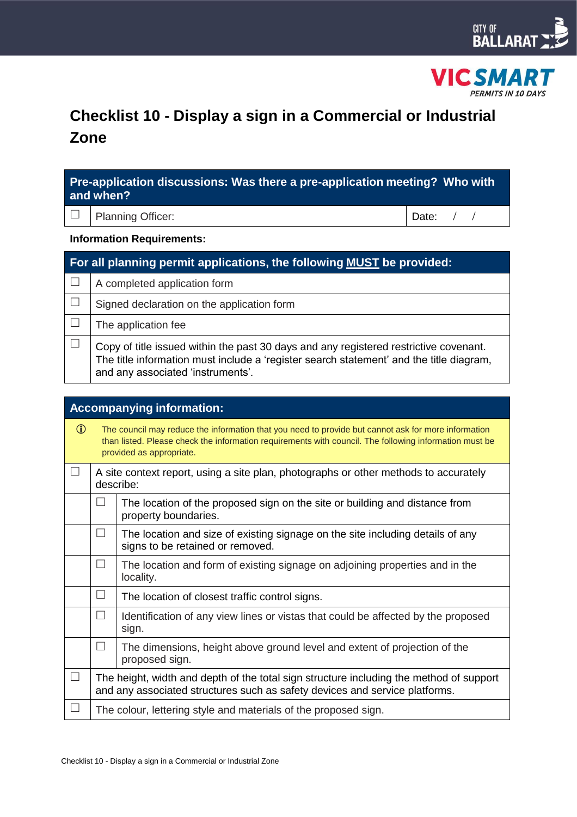



# **Checklist 10 - Display a sign in a Commercial or Industrial Zone**

| Pre-application discussions: Was there a pre-application meeting? Who with<br>and when? |                                                                                                                                                                                                                       |       |  |  |
|-----------------------------------------------------------------------------------------|-----------------------------------------------------------------------------------------------------------------------------------------------------------------------------------------------------------------------|-------|--|--|
|                                                                                         | <b>Planning Officer:</b>                                                                                                                                                                                              | Date: |  |  |
| <b>Information Requirements:</b>                                                        |                                                                                                                                                                                                                       |       |  |  |
| For all planning permit applications, the following MUST be provided:                   |                                                                                                                                                                                                                       |       |  |  |
|                                                                                         | A completed application form                                                                                                                                                                                          |       |  |  |
|                                                                                         | Signed declaration on the application form                                                                                                                                                                            |       |  |  |
|                                                                                         | The application fee                                                                                                                                                                                                   |       |  |  |
|                                                                                         | Copy of title issued within the past 30 days and any registered restrictive covenant.<br>The title information must include a 'register search statement' and the title diagram,<br>and any associated 'instruments'. |       |  |  |

| <b>Accompanying information:</b> |         |                                                                                                                                                                                                                                           |  |
|----------------------------------|---------|-------------------------------------------------------------------------------------------------------------------------------------------------------------------------------------------------------------------------------------------|--|
| $\bigcirc$                       |         | The council may reduce the information that you need to provide but cannot ask for more information<br>than listed. Please check the information requirements with council. The following information must be<br>provided as appropriate. |  |
| $\Box$                           |         | A site context report, using a site plan, photographs or other methods to accurately<br>describe:                                                                                                                                         |  |
|                                  | $\perp$ | The location of the proposed sign on the site or building and distance from<br>property boundaries.                                                                                                                                       |  |
|                                  | $\Box$  | The location and size of existing signage on the site including details of any<br>signs to be retained or removed.                                                                                                                        |  |
|                                  | $\Box$  | The location and form of existing signage on adjoining properties and in the<br>locality.                                                                                                                                                 |  |
|                                  | П       | The location of closest traffic control signs.                                                                                                                                                                                            |  |
|                                  | $\perp$ | Identification of any view lines or vistas that could be affected by the proposed<br>sign.                                                                                                                                                |  |
|                                  | П       | The dimensions, height above ground level and extent of projection of the<br>proposed sign.                                                                                                                                               |  |
| $\Box$                           |         | The height, width and depth of the total sign structure including the method of support<br>and any associated structures such as safety devices and service platforms.                                                                    |  |
| ⊔                                |         | The colour, lettering style and materials of the proposed sign.                                                                                                                                                                           |  |